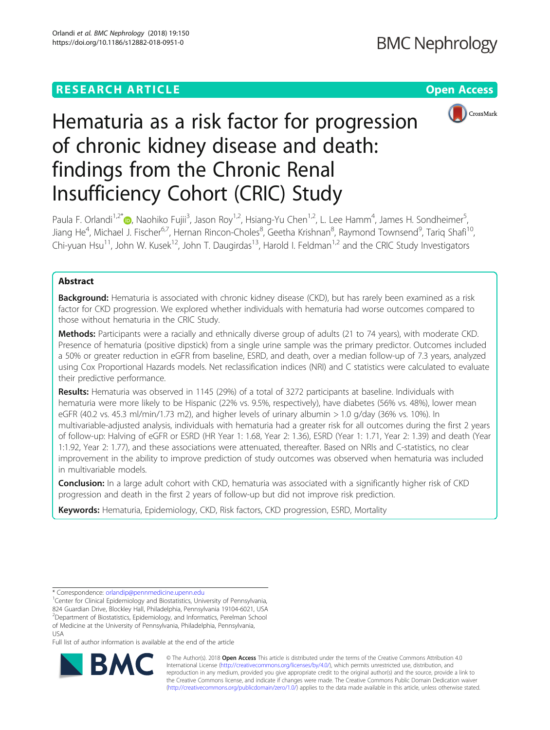# **RESEARCH ARTICLE Example 2014 12:30 The Contract of Contract ACCESS**



# Hematuria as a risk factor for progression of chronic kidney disease and death: findings from the Chronic Renal Insufficiency Cohort (CRIC) Study

Paula F. Orlandi<sup>1[,](http://orcid.org/0000-0002-7099-9345)2\*</sup> (@, Naohiko Fujii<sup>3</sup>, Jason Roy<sup>1,2</sup>, Hsiang-Yu Chen<sup>1,2</sup>, L. Lee Hamm<sup>4</sup>, James H. Sondheimer<sup>5</sup> , Jiang He<sup>4</sup>, Michael J. Fischer<sup>6,7</sup>, Hernan Rincon-Choles<sup>8</sup>, Geetha Krishnan<sup>8</sup>, Raymond Townsend<sup>9</sup>, Tariq Shafi<sup>10</sup>, Chi-yuan Hsu<sup>11</sup>, John W. Kusek<sup>12</sup>, John T. Daugirdas<sup>13</sup>, Harold I. Feldman<sup>1,2</sup> and the CRIC Study Investigators

# Abstract

**Background:** Hematuria is associated with chronic kidney disease (CKD), but has rarely been examined as a risk factor for CKD progression. We explored whether individuals with hematuria had worse outcomes compared to those without hematuria in the CRIC Study.

Methods: Participants were a racially and ethnically diverse group of adults (21 to 74 years), with moderate CKD. Presence of hematuria (positive dipstick) from a single urine sample was the primary predictor. Outcomes included a 50% or greater reduction in eGFR from baseline, ESRD, and death, over a median follow-up of 7.3 years, analyzed using Cox Proportional Hazards models. Net reclassification indices (NRI) and C statistics were calculated to evaluate their predictive performance.

Results: Hematuria was observed in 1145 (29%) of a total of 3272 participants at baseline. Individuals with hematuria were more likely to be Hispanic (22% vs. 9.5%, respectively), have diabetes (56% vs. 48%), lower mean eGFR (40.2 vs. 45.3 ml/min/1.73 m2), and higher levels of urinary albumin > 1.0 g/day (36% vs. 10%). In multivariable-adjusted analysis, individuals with hematuria had a greater risk for all outcomes during the first 2 years of follow-up: Halving of eGFR or ESRD (HR Year 1: 1.68, Year 2: 1.36), ESRD (Year 1: 1.71, Year 2: 1.39) and death (Year 1:1.92, Year 2: 1.77), and these associations were attenuated, thereafter. Based on NRIs and C-statistics, no clear improvement in the ability to improve prediction of study outcomes was observed when hematuria was included in multivariable models.

**Conclusion:** In a large adult cohort with CKD, hematuria was associated with a significantly higher risk of CKD progression and death in the first 2 years of follow-up but did not improve risk prediction.

Keywords: Hematuria, Epidemiology, CKD, Risk factors, CKD progression, ESRD, Mortality

\* Correspondence: [orlandip@pennmedicine.upenn.edu](mailto:orlandip@pennmedicine.upenn.edu) <sup>1</sup>

Full list of author information is available at the end of the article



© The Author(s). 2018 Open Access This article is distributed under the terms of the Creative Commons Attribution 4.0 International License [\(http://creativecommons.org/licenses/by/4.0/](http://creativecommons.org/licenses/by/4.0/)), which permits unrestricted use, distribution, and reproduction in any medium, provided you give appropriate credit to the original author(s) and the source, provide a link to the Creative Commons license, and indicate if changes were made. The Creative Commons Public Domain Dedication waiver [\(http://creativecommons.org/publicdomain/zero/1.0/](http://creativecommons.org/publicdomain/zero/1.0/)) applies to the data made available in this article, unless otherwise stated.

<sup>&</sup>lt;sup>1</sup> Center for Clinical Epidemiology and Biostatistics, University of Pennsylvania, 824 Guardian Drive, Blockley Hall, Philadelphia, Pennsylvania 19104-6021, USA <sup>2</sup>Department of Biostatistics, Epidemiology, and Informatics, Perelman School of Medicine at the University of Pennsylvania, Philadelphia, Pennsylvania, USA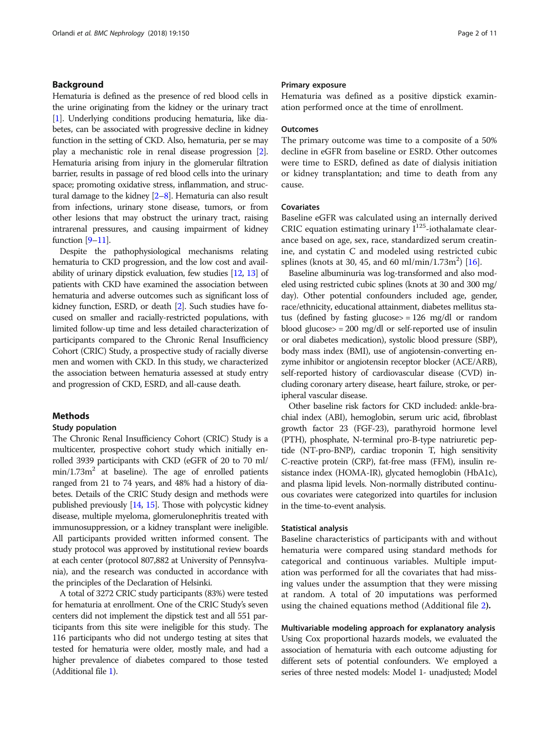# Background

Hematuria is defined as the presence of red blood cells in the urine originating from the kidney or the urinary tract [[1](#page-9-0)]. Underlying conditions producing hematuria, like diabetes, can be associated with progressive decline in kidney function in the setting of CKD. Also, hematuria, per se may play a mechanistic role in renal disease progression [[2](#page-9-0)]. Hematuria arising from injury in the glomerular filtration barrier, results in passage of red blood cells into the urinary space; promoting oxidative stress, inflammation, and structural damage to the kidney [\[2](#page-9-0)–[8](#page-9-0)]. Hematuria can also result from infections, urinary stone disease, tumors, or from other lesions that may obstruct the urinary tract, raising intrarenal pressures, and causing impairment of kidney function [\[9](#page-9-0)–[11\]](#page-9-0).

Despite the pathophysiological mechanisms relating hematuria to CKD progression, and the low cost and availability of urinary dipstick evaluation, few studies [[12](#page-9-0), [13\]](#page-9-0) of patients with CKD have examined the association between hematuria and adverse outcomes such as significant loss of kidney function, ESRD, or death [\[2\]](#page-9-0). Such studies have focused on smaller and racially-restricted populations, with limited follow-up time and less detailed characterization of participants compared to the Chronic Renal Insufficiency Cohort (CRIC) Study, a prospective study of racially diverse men and women with CKD. In this study, we characterized the association between hematuria assessed at study entry and progression of CKD, ESRD, and all-cause death.

# Methods

#### Study population

The Chronic Renal Insufficiency Cohort (CRIC) Study is a multicenter, prospective cohort study which initially enrolled 3939 participants with CKD (eGFR of 20 to 70 ml/  $min/1.73m<sup>2</sup>$  at baseline). The age of enrolled patients ranged from 21 to 74 years, and 48% had a history of diabetes. Details of the CRIC Study design and methods were published previously [[14,](#page-9-0) [15\]](#page-9-0). Those with polycystic kidney disease, multiple myeloma, glomerulonephritis treated with immunosuppression, or a kidney transplant were ineligible. All participants provided written informed consent. The study protocol was approved by institutional review boards at each center (protocol 807,882 at University of Pennsylvania), and the research was conducted in accordance with the principles of the Declaration of Helsinki.

A total of 3272 CRIC study participants (83%) were tested for hematuria at enrollment. One of the CRIC Study's seven centers did not implement the dipstick test and all 551 participants from this site were ineligible for this study. The 116 participants who did not undergo testing at sites that tested for hematuria were older, mostly male, and had a higher prevalence of diabetes compared to those tested (Additional file [1\)](#page-8-0).

# Primary exposure

Hematuria was defined as a positive dipstick examination performed once at the time of enrollment.

# **Outcomes**

The primary outcome was time to a composite of a 50% decline in eGFR from baseline or ESRD. Other outcomes were time to ESRD, defined as date of dialysis initiation or kidney transplantation; and time to death from any cause.

# Covariates

Baseline eGFR was calculated using an internally derived CRIC equation estimating urinary  $I^{125}$ -iothalamate clearance based on age, sex, race, standardized serum creatinine, and cystatin C and modeled using restricted cubic splines (knots at 30, 45, and 60 ml/min/1.73m<sup>2</sup>) [\[16\]](#page-9-0).

Baseline albuminuria was log-transformed and also modeled using restricted cubic splines (knots at 30 and 300 mg/ day). Other potential confounders included age, gender, race/ethnicity, educational attainment, diabetes mellitus status (defined by fasting glucose $>$  = 126 mg/dl or random blood glucose> = 200 mg/dl or self-reported use of insulin or oral diabetes medication), systolic blood pressure (SBP), body mass index (BMI), use of angiotensin-converting enzyme inhibitor or angiotensin receptor blocker (ACE/ARB), self-reported history of cardiovascular disease (CVD) including coronary artery disease, heart failure, stroke, or peripheral vascular disease.

Other baseline risk factors for CKD included: ankle-brachial index (ABI), hemoglobin, serum uric acid, fibroblast growth factor 23 (FGF-23), parathyroid hormone level (PTH), phosphate, N-terminal pro-B-type natriuretic peptide (NT-pro-BNP), cardiac troponin T, high sensitivity C-reactive protein (CRP), fat-free mass (FFM), insulin resistance index (HOMA-IR), glycated hemoglobin (HbA1c), and plasma lipid levels. Non-normally distributed continuous covariates were categorized into quartiles for inclusion in the time-to-event analysis.

# Statistical analysis

Baseline characteristics of participants with and without hematuria were compared using standard methods for categorical and continuous variables. Multiple imputation was performed for all the covariates that had missing values under the assumption that they were missing at random. A total of 20 imputations was performed using the chained equations method (Additional file [2](#page-8-0)).

Multivariable modeling approach for explanatory analysis Using Cox proportional hazards models, we evaluated the association of hematuria with each outcome adjusting for different sets of potential confounders. We employed a series of three nested models: Model 1- unadjusted; Model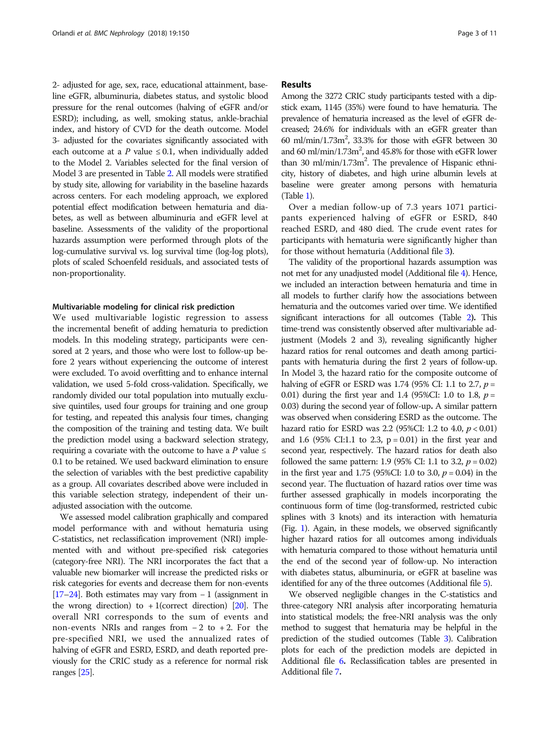2- adjusted for age, sex, race, educational attainment, baseline eGFR, albuminuria, diabetes status, and systolic blood pressure for the renal outcomes (halving of eGFR and/or ESRD); including, as well, smoking status, ankle-brachial index, and history of CVD for the death outcome. Model 3- adjusted for the covariates significantly associated with each outcome at a P value  $\leq$  0.1, when individually added to the Model 2. Variables selected for the final version of Model 3 are presented in Table [2.](#page-5-0) All models were stratified by study site, allowing for variability in the baseline hazards across centers. For each modeling approach, we explored potential effect modification between hematuria and diabetes, as well as between albuminuria and eGFR level at baseline. Assessments of the validity of the proportional hazards assumption were performed through plots of the log-cumulative survival vs. log survival time (log-log plots), plots of scaled Schoenfeld residuals, and associated tests of non-proportionality.

# Multivariable modeling for clinical risk prediction

We used multivariable logistic regression to assess the incremental benefit of adding hematuria to prediction models. In this modeling strategy, participants were censored at 2 years, and those who were lost to follow-up before 2 years without experiencing the outcome of interest were excluded. To avoid overfitting and to enhance internal validation, we used 5-fold cross-validation. Specifically, we randomly divided our total population into mutually exclusive quintiles, used four groups for training and one group for testing, and repeated this analysis four times, changing the composition of the training and testing data. We built the prediction model using a backward selection strategy, requiring a covariate with the outcome to have a P value  $\leq$ 0.1 to be retained. We used backward elimination to ensure the selection of variables with the best predictive capability as a group. All covariates described above were included in this variable selection strategy, independent of their unadjusted association with the outcome.

We assessed model calibration graphically and compared model performance with and without hematuria using C-statistics, net reclassification improvement (NRI) implemented with and without pre-specified risk categories (category-free NRI). The NRI incorporates the fact that a valuable new biomarker will increase the predicted risks or risk categories for events and decrease them for non-events [[17](#page-9-0)–[24](#page-10-0)]. Both estimates may vary from − 1 (assignment in the wrong direction) to  $+1$ (correct direction) [\[20\]](#page-10-0). The overall NRI corresponds to the sum of events and non-events NRIs and ranges from − 2 to + 2. For the pre-specified NRI, we used the annualized rates of halving of eGFR and ESRD, ESRD, and death reported previously for the CRIC study as a reference for normal risk ranges [[25](#page-10-0)].

## Results

Among the 3272 CRIC study participants tested with a dipstick exam, 1145 (35%) were found to have hematuria. The prevalence of hematuria increased as the level of eGFR decreased; 24.6% for individuals with an eGFR greater than  $60$  ml/min/1.73m<sup>2</sup>, 33.3% for those with eGFR between 30 and 60 ml/min/1.73m<sup>2</sup>, and 45.8% for those with eGFR lower than 30 ml/min/1.73m<sup>2</sup>. The prevalence of Hispanic ethnicity, history of diabetes, and high urine albumin levels at baseline were greater among persons with hematuria (Table [1\)](#page-3-0).

Over a median follow-up of 7.3 years 1071 participants experienced halving of eGFR or ESRD, 840 reached ESRD, and 480 died. The crude event rates for participants with hematuria were significantly higher than for those without hematuria (Additional file [3](#page-8-0)).

The validity of the proportional hazards assumption was not met for any unadjusted model (Additional file [4](#page-8-0)). Hence, we included an interaction between hematuria and time in all models to further clarify how the associations between hematuria and the outcomes varied over time. We identified significant interactions for all outcomes (Table [2](#page-5-0)). This time-trend was consistently observed after multivariable adjustment (Models 2 and 3), revealing significantly higher hazard ratios for renal outcomes and death among participants with hematuria during the first 2 years of follow-up. In Model 3, the hazard ratio for the composite outcome of halving of eGFR or ESRD was 1.74 (95% CI: 1.1 to 2.7,  $p =$ 0.01) during the first year and 1.4 (95%CI: 1.0 to 1.8,  $p =$ 0.03) during the second year of follow-up. A similar pattern was observed when considering ESRD as the outcome. The hazard ratio for ESRD was 2.2 (95%CI: 1.2 to 4.0,  $p < 0.01$ ) and 1.6 (95% CI:1.1 to 2.3,  $p = 0.01$ ) in the first year and second year, respectively. The hazard ratios for death also followed the same pattern: 1.9 (95% CI: 1.1 to 3.2,  $p = 0.02$ ) in the first year and 1.75 (95%CI: 1.0 to 3.0,  $p = 0.04$ ) in the second year. The fluctuation of hazard ratios over time was further assessed graphically in models incorporating the continuous form of time (log-transformed, restricted cubic splines with 3 knots) and its interaction with hematuria (Fig. [1](#page-7-0)). Again, in these models, we observed significantly higher hazard ratios for all outcomes among individuals with hematuria compared to those without hematuria until the end of the second year of follow-up. No interaction with diabetes status, albuminuria, or eGFR at baseline was identified for any of the three outcomes (Additional file [5](#page-8-0)).

We observed negligible changes in the C-statistics and three-category NRI analysis after incorporating hematuria into statistical models; the free-NRI analysis was the only method to suggest that hematuria may be helpful in the prediction of the studied outcomes (Table [3\)](#page-7-0). Calibration plots for each of the prediction models are depicted in Additional file [6](#page-8-0). Reclassification tables are presented in Additional file [7](#page-8-0).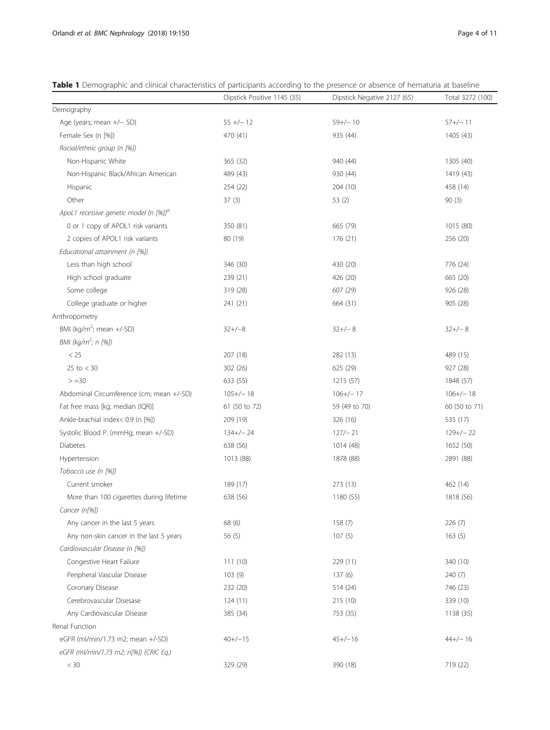|                                                    | Dipstick Positive 1145 (35) | Dipstick Negative 2127 (65) | Total 3272 (100) |
|----------------------------------------------------|-----------------------------|-----------------------------|------------------|
| Demography                                         |                             |                             |                  |
| Age (years; mean +/- SD)                           | $55 +/- 12$                 | $59+/-10$                   | $57+/-11$        |
| Female Sex (n [%])                                 | 470 (41)                    | 935 (44)                    | 1405 (43)        |
| Racial/ethnic group (n [%])                        |                             |                             |                  |
| Non-Hispanic White                                 | 365 (32)                    | 940 (44)                    | 1305 (40)        |
| Non-Hispanic Black/African American                | 489 (43)                    | 930 (44)                    | 1419 (43)        |
| Hispanic                                           | 254 (22)                    | 204(10)                     | 458 (14)         |
| Other                                              | 37(3)                       | 53 $(2)$                    | 90(3)            |
| ApoL1 recessive genetic model (n [%]) <sup>a</sup> |                             |                             |                  |
| 0 or 1 copy of APOL1 risk variants                 | 350 (81)                    | 665 (79)                    | 1015 (80)        |
| 2 copies of APOL1 risk variants                    | 80 (19)                     | 176 (21)                    | 256 (20)         |
| Educational attainment (n [%])                     |                             |                             |                  |
| Less than high school                              | 346 (30)                    | 430 (20)                    | 776 (24)         |
| High school graduate                               | 239 (21)                    | 426 (20)                    | 665 (20)         |
| Some college                                       | 319 (28)                    | 607 (29)                    | 926 (28)         |
| College graduate or higher                         | 241 (21)                    | 664 (31)                    | 905 (28)         |
| Anthropometry                                      |                             |                             |                  |
| BMI (kg/m <sup>2</sup> ; mean $+/-SD$ )            | $32+/-8$                    | $32+/-8$                    | $32+/-8$         |
| BMI (kg/m <sup>2</sup> ; n [%])                    |                             |                             |                  |
| $<25\,$                                            | 207 (18)                    | 282 (13)                    | 489 (15)         |
| $25$ to $<$ 30                                     | 302 (26)                    | 625 (29)                    | 927 (28)         |
| $> = 30$                                           | 633 (55)                    | 1215 (57)                   | 1848 (57)        |
| Abdominal Circumference (cm; mean +/-SD)           | $105+/-18$                  | $106+/-17$                  | $106 + / - 18$   |
| Fat free mass [kg; median (IQR)]                   | 61 (50 to 72)               | 59 (49 to 70)               | 60 (50 to 71)    |
| Ankle-brachial index< 0.9 (n [%])                  | 209 (19)                    | 326 (16)                    | 535 (17)         |
| Systolic Blood P. (mmHg; mean +/-SD)               | $134+/-24$                  | $127/- 21$                  | $129+/-22$       |
| <b>Diabetes</b>                                    | 638 (56)                    | 1014 (48)                   | 1652 (50)        |
| Hypertension                                       | 1013 (88)                   | 1878 (88)                   | 2891 (88)        |
| Tobacco use (n [%])                                |                             |                             |                  |
| Current smoker                                     | 189 (17)                    | 273(13)                     | 462 (14)         |
| More than 100 cigarettes during lifetime           | 638 (56)                    | 1180 (55)                   | 1818 (56)        |
| Cancer (n[%])                                      |                             |                             |                  |
| Any cancer in the last 5 years                     | 68 (6)                      | 158(7)                      | 226(7)           |
| Any non-skin cancer in the last 5 years            | 56(5)                       | 107(5)                      | 163(5)           |
| Cardiovascular Disease (n [%])                     |                             |                             |                  |
| Congestive Heart Failure                           | 111(10)                     | 229(11)                     | 340 (10)         |
| Peripheral Vascular Disease                        | 103(9)                      | 137(6)                      | 240(7)           |
| Coronary Disease                                   | 232 (20)                    | 514 (24)                    | 746 (23)         |
| Cerebrovascular Disesase                           | 124 (11)                    | 215(10)                     | 339 (10)         |
| Any Cardiovascular Disease                         | 385 (34)                    | 753 (35)                    | 1138 (35)        |
| Renal Function                                     |                             |                             |                  |
| eGFR (ml/min/1.73 m2; mean +/-SD)                  | $40+/-15$                   | $45+/-16$                   | $44+/-16$        |
| eGFR (ml/min/1.73 m2; n[%]) (CRIC Eq.)             |                             |                             |                  |
| $< 30\,$                                           | 329 (29)                    | 390 (18)                    | 719 (22)         |

<span id="page-3-0"></span>Table 1 Demographic and clinical characteristics of participants according to the presence or absence of hematuria at baseline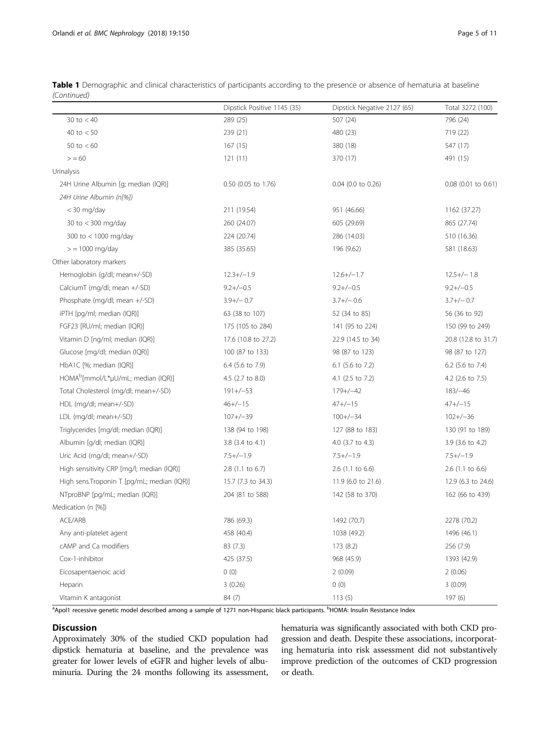|                                                | Dipstick Positive 1145 (35) | Dipstick Negative 2127 (65) | Total 3272 (100)    |
|------------------------------------------------|-----------------------------|-----------------------------|---------------------|
| 30 to $< 40$                                   | 289 (25)                    | 507 (24)                    | 796 (24)            |
| 40 to $< 50$                                   | 239 (21)                    | 480 (23)                    | 719 (22)            |
| 50 to $< 60$                                   | 167(15)                     | 380 (18)                    | 547 (17)            |
| > 60                                           | 121(11)                     | 370 (17)                    | 491 (15)            |
| Urinalysis                                     |                             |                             |                     |
| 24H Urine Albumin [g; median (IQR)]            | 0.50 (0.05 to 1.76)         | $0.04$ (0.0 to 0.26)        | 0.08 (0.01 to 0.61) |
| 24H Urine Albumin (n[%])                       |                             |                             |                     |
| < 30 mg/day                                    | 211 (19.54)                 | 951 (46.66)                 | 1162 (37.27)        |
| 30 to < 300 mg/day                             | 260 (24.07)                 | 605 (29.69)                 | 865 (27.74)         |
| 300 to < 1000 mg/day                           | 224 (20.74)                 | 286 (14.03)                 | 510 (16.36)         |
| $>$ = 1000 mg/day                              | 385 (35.65)                 | 196 (9.62)                  | 581 (18.63)         |
| Other laboratory markers                       |                             |                             |                     |
| Hemoglobin (g/dl; mean+/-SD)                   | $12.3+/-1.9$                | $12.6+/-1.7$                | $12.5+/-1.8$        |
| CalciumT (mg/dl; mean +/-SD)                   | $9.2+/-0.5$                 | $9.2+/-0.5$                 | $9.2+/-0.5$         |
| Phosphate (mg/dl; mean +/-SD)                  | $3.9+/-0.7$                 | $3.7+/-0.6$                 | $3.7 + / - 0.7$     |
| iPTH [pg/ml; median (IQR)]                     | 63 (38 to 107)              | 52 (34 to 85)               | 56 (36 to 92)       |
| FGF23 [RU/ml; median (IQR)]                    | 175 (105 to 284)            | 141 (95 to 224)             | 150 (99 to 249)     |
| Vitamin D [ng/ml; median (IQR)]                | 17.6 (10.8 to 27.2)         | 22.9 (14.5 to 34)           | 20.8 (12.8 to 31.7) |
| Glucose [mg/dl; median (IQR)]                  | 100 (87 to 133)             | 98 (87 to 123)              | 98 (87 to 127)      |
| HbA1C [%; median (IQR)]                        | 6.4 (5.6 to 7.9)            | 6.1 (5.6 to 7.2)            | 6.2 (5.6 to 7.4)    |
| HOMA <sup>b</sup> [mmol/L*µU/mL; median (IQR)] | 4.5 (2.7 to 8.0)            | 4.1 (2.5 to 7.2)            | 4.2 (2.6 to 7.5)    |
| Total Cholesterol (mg/dl; mean+/-SD)           | $191 + (-53)$               | $179 + (-42)$               | $183/-46$           |
| HDL (mg/dl; mean+/-SD)                         | $46+/-15$                   | $47+/-15$                   | $47+/-15$           |
| LDL (mg/dl; mean+/-SD)                         | $107+/-39$                  | $100+/-34$                  | $102+/-36$          |
| Triglycerides [mg/dl; median (IQR)]            | 138 (94 to 198)             | 127 (88 to 183)             | 130 (91 to 189)     |
| Albumin [g/dl; median (IQR)]                   | 3.8 (3.4 to 4.1)            | 4.0 (3.7 to 4.3)            | 3.9 (3.6 to 4.2)    |
| Uric Acid (mg/dl; mean+/-SD)                   | $7.5+/-1.9$                 | $7.5+/-1.9$                 | $7.5+/-1.9$         |
| High sensitivity CRP [mg/l; median (IQR)]      | 2.8 (1.1 to 6.7)            | $2.6$ (1.1 to 6.6)          | $2.6$ (1.1 to 6.6)  |
| High sens.Troponin T [pg/mL; median (IQR)]     | 15.7 (7.3 to 34.3)          | 11.9 (6.0 to 21.6)          | 12.9 (6.3 to 24.6)  |
| NTproBNP [pg/mL; median (IQR)]                 | 204 (81 to 588)             | 142 (58 to 370)             | 162 (66 to 439)     |
| Medication (n [%])                             |                             |                             |                     |
| ACE/ARB                                        | 786 (69.3)                  | 1492 (70.7)                 | 2278 (70.2)         |
| Any anti-platelet agent                        | 458 (40.4)                  | 1038 (49.2)                 | 1496 (46.1)         |
| cAMP and Ca modifiers                          | 83 (7.3)                    | 173 (8.2)                   | 256 (7.9)           |
| Cox-1-inhibitor                                | 425 (37.5)                  | 968 (45.9)                  | 1393 (42.9)         |
| Eicosapentaenoic acid                          | 0(0)                        | 2(0.09)                     | 2(0.06)             |
| Heparin                                        | 3(0.26)                     | 0(0)                        | 3(0.09)             |
| Vitamin K antagonist                           | 84 (7)                      | 113(5)                      | 197 (6)             |

Table 1 Demographic and clinical characteristics of participants according to the presence or absence of hematuria at baseline (Continued)

<sup>a</sup>Apol1 recessive genetic model described among a sample of 1271 non-Hispanic black participants. <sup>b</sup>HOMA: Insulin Resistance Index

# **Discussion**

Approximately 30% of the studied CKD population had dipstick hematuria at baseline, and the prevalence was greater for lower levels of eGFR and higher levels of albuminuria. During the 24 months following its assessment,

hematuria was significantly associated with both CKD progression and death. Despite these associations, incorporating hematuria into risk assessment did not substantively improve prediction of the outcomes of CKD progression or death.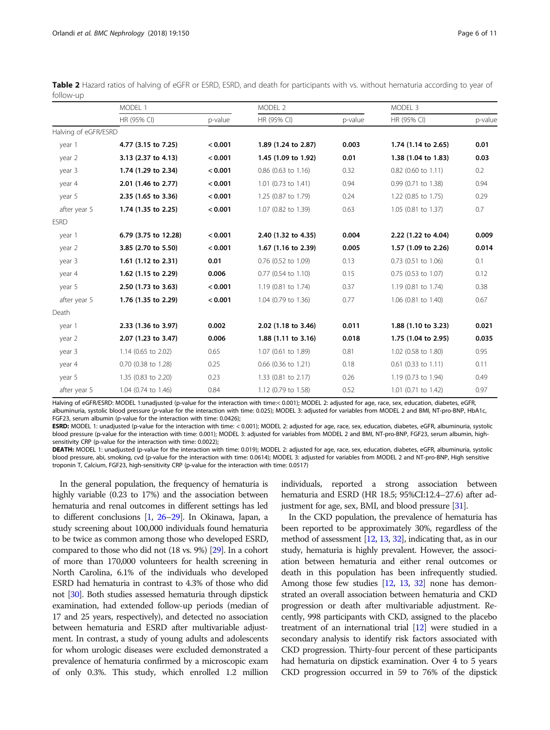<span id="page-5-0"></span>

|           |  |  |  |  | Table 2 Hazard ratios of halving of eGFR or ESRD, ESRD, and death for participants with vs. without hematuria according to year of |  |  |  |
|-----------|--|--|--|--|------------------------------------------------------------------------------------------------------------------------------------|--|--|--|
| follow-up |  |  |  |  |                                                                                                                                    |  |  |  |

|                      | MODEL 1              |         | MODEL 2               |         | MODEL 3               |         |  |
|----------------------|----------------------|---------|-----------------------|---------|-----------------------|---------|--|
|                      | HR (95% CI)          | p-value | HR (95% CI)           | p-value | HR (95% CI)           | p-value |  |
| Halving of eGFR/ESRD |                      |         |                       |         |                       |         |  |
| year 1               | 4.77 (3.15 to 7.25)  | < 0.001 | 1.89 (1.24 to 2.87)   | 0.003   | 1.74 (1.14 to 2.65)   | 0.01    |  |
| year 2               | 3.13 (2.37 to 4.13)  | < 0.001 | 1.45 (1.09 to 1.92)   | 0.01    | 1.38 (1.04 to 1.83)   | 0.03    |  |
| year 3               | 1.74 (1.29 to 2.34)  | < 0.001 | $0.86$ (0.63 to 1.16) | 0.32    | $0.82$ (0.60 to 1.11) | 0.2     |  |
| year 4               | 2.01 (1.46 to 2.77)  | < 0.001 | 1.01 (0.73 to 1.41)   | 0.94    | 0.99 (0.71 to 1.38)   | 0.94    |  |
| year 5               | 2.35 (1.65 to 3.36)  | < 0.001 | 1.25 (0.87 to 1.79)   | 0.24    | 1.22 (0.85 to 1.75)   | 0.29    |  |
| after year 5         | 1.74 (1.35 to 2.25)  | < 0.001 | 1.07 (0.82 to 1.39)   | 0.63    | 1.05 (0.81 to 1.37)   | 0.7     |  |
| <b>ESRD</b>          |                      |         |                       |         |                       |         |  |
| year 1               | 6.79 (3.75 to 12.28) | < 0.001 | 2.40 (1.32 to 4.35)   | 0.004   | 2.22 (1.22 to 4.04)   | 0.009   |  |
| year 2               | 3.85 (2.70 to 5.50)  | < 0.001 | 1.67 (1.16 to 2.39)   | 0.005   | 1.57 (1.09 to 2.26)   | 0.014   |  |
| year 3               | 1.61 (1.12 to 2.31)  | 0.01    | 0.76 (0.52 to 1.09)   | 0.13    | $0.73$ (0.51 to 1.06) | 0.1     |  |
| year 4               | 1.62 (1.15 to 2.29)  | 0.006   | $0.77$ (0.54 to 1.10) | 0.15    | $0.75$ (0.53 to 1.07) | 0.12    |  |
| year 5               | 2.50 (1.73 to 3.63)  | < 0.001 | 1.19 (0.81 to 1.74)   | 0.37    | 1.19 (0.81 to 1.74)   | 0.38    |  |
| after year 5         | 1.76 (1.35 to 2.29)  | < 0.001 | 1.04 (0.79 to 1.36)   | 0.77    | 1.06 (0.81 to 1.40)   | 0.67    |  |
| Death                |                      |         |                       |         |                       |         |  |
| year 1               | 2.33 (1.36 to 3.97)  | 0.002   | 2.02 (1.18 to 3.46)   | 0.011   | 1.88 (1.10 to 3.23)   | 0.021   |  |
| year 2               | 2.07 (1.23 to 3.47)  | 0.006   | 1.88 (1.11 to 3.16)   | 0.018   | 1.75 (1.04 to 2.95)   | 0.035   |  |
| year 3               | 1.14 (0.65 to 2.02)  | 0.65    | 1.07 (0.61 to 1.89)   | 0.81    | 1.02 (0.58 to 1.80)   | 0.95    |  |
| year 4               | 0.70 (0.38 to 1.28)  | 0.25    | $0.66$ (0.36 to 1.21) | 0.18    | $0.61$ (0.33 to 1.11) | 0.11    |  |
| year 5               | 1.35 (0.83 to 2.20)  | 0.23    | 1.33 (0.81 to 2.17)   | 0.26    | 1.19 (0.73 to 1.94)   | 0.49    |  |
| after year 5         | 1.04 (0.74 to 1.46)  | 0.84    | 1.12 (0.79 to 1.58)   | 0.52    | 1.01 (0.71 to 1.42)   | 0.97    |  |

Halving of eGFR/ESRD: MODEL 1:unadjusted (p-value for the interaction with time:< 0.001); MODEL 2: adjusted for age, race, sex, education, diabetes, eGFR, albuminuria, systolic blood pressure (p-value for the interaction with time: 0.025); MODEL 3: adjusted for variables from MODEL 2 and BMI, NT-pro-BNP, HbA1c, FGF23, serum albumin (p-value for the interaction with time: 0.0426);

ESRD: MODEL 1: unadjusted (p-value for the interaction with time: < 0.001); MODEL 2: adjusted for age, race, sex, education, diabetes, eGFR, albuminuria, systolic blood pressure (p-value for the interaction with time: 0.001); MODEL 3: adjusted for variables from MODEL 2 and BMI, NT-pro-BNP, FGF23, serum albumin, highsensitivity CRP (p-value for the interaction with time: 0.0022);

DEATH: MODEL 1: unadjusted (p-value for the interaction with time: 0.019); MODEL 2: adjusted for age, race, sex, education, diabetes, eGFR, albuminuria, systolic blood pressure, abi, smoking, cvd (p-value for the interaction with time: 0.0614); MODEL 3: adjusted for variables from MODEL 2 and NT-pro-BNP, High sensitive troponin T, Calcium, FGF23, high-sensitivity CRP (p-value for the interaction with time: 0.0517)

In the general population, the frequency of hematuria is highly variable (0.23 to 17%) and the association between hematuria and renal outcomes in different settings has led to different conclusions [\[1](#page-9-0), [26](#page-10-0)–[29\]](#page-10-0). In Okinawa, Japan, a study screening about 100,000 individuals found hematuria to be twice as common among those who developed ESRD, compared to those who did not (18 vs. 9%) [\[29](#page-10-0)]. In a cohort of more than 170,000 volunteers for health screening in North Carolina, 6.1% of the individuals who developed ESRD had hematuria in contrast to 4.3% of those who did not [\[30\]](#page-10-0). Both studies assessed hematuria through dipstick examination, had extended follow-up periods (median of 17 and 25 years, respectively), and detected no association between hematuria and ESRD after multivariable adjustment. In contrast, a study of young adults and adolescents for whom urologic diseases were excluded demonstrated a prevalence of hematuria confirmed by a microscopic exam of only 0.3%. This study, which enrolled 1.2 million

individuals, reported a strong association between hematuria and ESRD (HR 18.5; 95%CI:12.4–27.6) after adjustment for age, sex, BMI, and blood pressure [[31](#page-10-0)].

In the CKD population, the prevalence of hematuria has been reported to be approximately 30%, regardless of the method of assessment [\[12,](#page-9-0) [13,](#page-9-0) [32\]](#page-10-0), indicating that, as in our study, hematuria is highly prevalent. However, the association between hematuria and either renal outcomes or death in this population has been infrequently studied. Among those few studies  $[12, 13, 32]$  $[12, 13, 32]$  $[12, 13, 32]$  $[12, 13, 32]$  $[12, 13, 32]$  $[12, 13, 32]$  $[12, 13, 32]$  none has demonstrated an overall association between hematuria and CKD progression or death after multivariable adjustment. Recently, 998 participants with CKD, assigned to the placebo treatment of an international trial [\[12](#page-9-0)] were studied in a secondary analysis to identify risk factors associated with CKD progression. Thirty-four percent of these participants had hematuria on dipstick examination. Over 4 to 5 years CKD progression occurred in 59 to 76% of the dipstick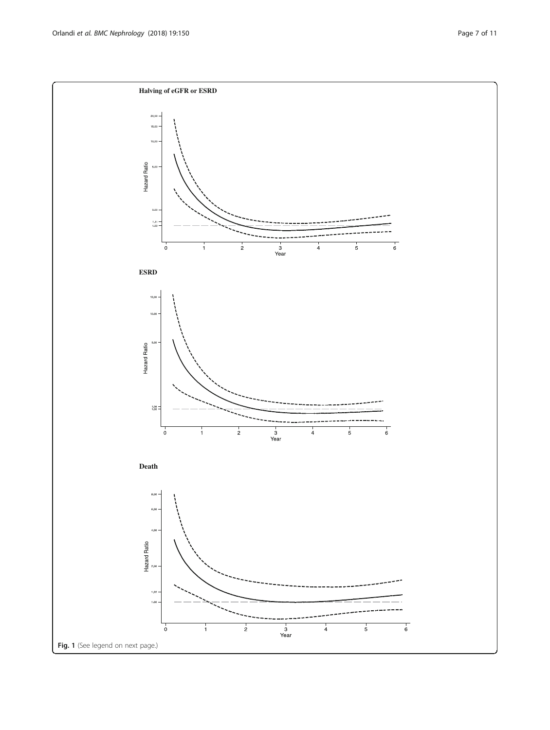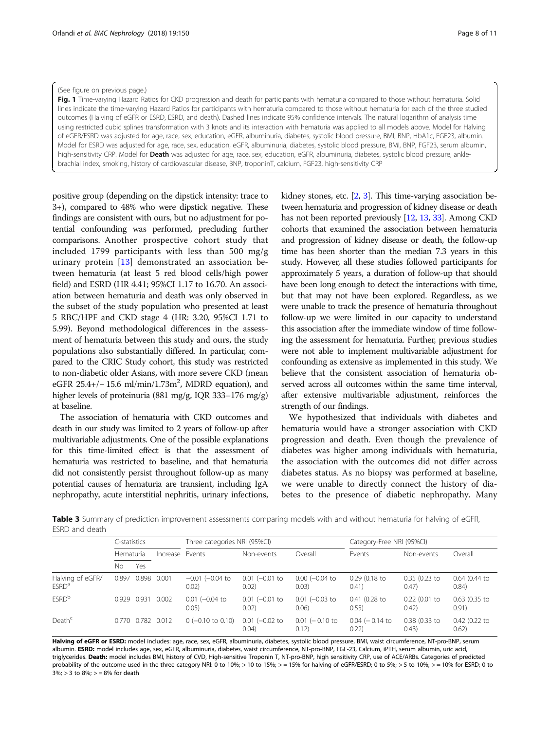#### <span id="page-7-0"></span>(See figure on previous page.)

Fig. 1 Time-varying Hazard Ratios for CKD progression and death for participants with hematuria compared to those without hematuria. Solid lines indicate the time-varying Hazard Ratios for participants with hematuria compared to those without hematuria for each of the three studied outcomes (Halving of eGFR or ESRD, ESRD, and death). Dashed lines indicate 95% confidence intervals. The natural logarithm of analysis time using restricted cubic splines transformation with 3 knots and its interaction with hematuria was applied to all models above. Model for Halving of eGFR/ESRD was adjusted for age, race, sex, education, eGFR, albuminuria, diabetes, systolic blood pressure, BMI, BNP, HbA1c, FGF23, albumin. Model for ESRD was adjusted for age, race, sex, education, eGFR, albuminuria, diabetes, systolic blood pressure, BMI, BNP, FGF23, serum albumin, high-sensitivity CRP. Model for Death was adjusted for age, race, sex, education, eGFR, albuminuria, diabetes, systolic blood pressure, anklebrachial index, smoking, history of cardiovascular disease, BNP, troponinT, calcium, FGF23, high-sensitivity CRP

positive group (depending on the dipstick intensity: trace to 3+), compared to 48% who were dipstick negative. These findings are consistent with ours, but no adjustment for potential confounding was performed, precluding further comparisons. Another prospective cohort study that included 1799 participants with less than 500 mg/g urinary protein [[13\]](#page-9-0) demonstrated an association between hematuria (at least 5 red blood cells/high power field) and ESRD (HR 4.41; 95%CI 1.17 to 16.70. An association between hematuria and death was only observed in the subset of the study population who presented at least 5 RBC/HPF and CKD stage 4 (HR: 3.20, 95%CI 1.71 to 5.99). Beyond methodological differences in the assessment of hematuria between this study and ours, the study populations also substantially differed. In particular, compared to the CRIC Study cohort, this study was restricted to non-diabetic older Asians, with more severe CKD (mean eGFR  $25.4+/- 15.6$  ml/min/1.73m<sup>2</sup>, MDRD equation), and higher levels of proteinuria (881 mg/g, IQR 333–176 mg/g) at baseline.

The association of hematuria with CKD outcomes and death in our study was limited to 2 years of follow-up after multivariable adjustments. One of the possible explanations for this time-limited effect is that the assessment of hematuria was restricted to baseline, and that hematuria did not consistently persist throughout follow-up as many potential causes of hematuria are transient, including IgA nephropathy, acute interstitial nephritis, urinary infections,

kidney stones, etc.  $[2, 3]$  $[2, 3]$  $[2, 3]$  $[2, 3]$  $[2, 3]$ . This time-varying association between hematuria and progression of kidney disease or death has not been reported previously [\[12,](#page-9-0) [13,](#page-9-0) [33](#page-10-0)]. Among CKD cohorts that examined the association between hematuria and progression of kidney disease or death, the follow-up time has been shorter than the median 7.3 years in this study. However, all these studies followed participants for approximately 5 years, a duration of follow-up that should have been long enough to detect the interactions with time, but that may not have been explored. Regardless, as we were unable to track the presence of hematuria throughout follow-up we were limited in our capacity to understand this association after the immediate window of time following the assessment for hematuria. Further, previous studies were not able to implement multivariable adjustment for confounding as extensive as implemented in this study. We believe that the consistent association of hematuria observed across all outcomes within the same time interval, after extensive multivariable adjustment, reinforces the strength of our findings.

We hypothesized that individuals with diabetes and hematuria would have a stronger association with CKD progression and death. Even though the prevalence of diabetes was higher among individuals with hematuria, the association with the outcomes did not differ across diabetes status. As no biopsy was performed at baseline, we were unable to directly connect the history of diabetes to the presence of diabetic nephropathy. Many

Table 3 Summary of prediction improvement assessments comparing models with and without hematuria for halving of eGFR, ESRD and death

|                                       | C-statistics |             |                 | Three categories NRI (95%CI)  |                           |                              | Category-Free NRI (95%CI)    |                          |                          |  |
|---------------------------------------|--------------|-------------|-----------------|-------------------------------|---------------------------|------------------------------|------------------------------|--------------------------|--------------------------|--|
|                                       | Hematuria    |             | Increase Events |                               | Non-events                | Overall                      | Events                       | Non-events               | Overall                  |  |
|                                       | Nο           | Yes         |                 |                               |                           |                              |                              |                          |                          |  |
| Halving of eGFR/<br>ESRD <sup>a</sup> |              | 0.897 0.898 | 0.001           | $-0.01$ ( $-0.04$ to<br>0.02) | $0.01$ (-0.01 to<br>0.02) | $0.00$ ( $-0.04$ to<br>0.03) | $0.29$ (0.18 to<br>0.41)     | $0.35$ (0.23 to<br>0.47) | $0.64$ (0.44 to<br>0.84) |  |
| <b>ESRD</b> b                         |              | 0.929 0.931 | 0.002           | $0.01$ (-0.04 to<br>0.05)     | $0.01$ (-0.01 to<br>0.02) | $0.01$ (-0.03 to<br>0.06)    | $0.41(0.28)$ to<br>0.55)     | $0.22$ (0.01 to<br>0.42) | $0.63$ (0.35 to<br>0.91) |  |
| Death <sup>c</sup>                    |              | 0.770 0.782 | 0.012           | $0$ (-0.10 to 0.10)           | $0.01$ (-0.02 to<br>0.04) | $0.01$ ( $-0.10$ to<br>0.12) | $0.04$ ( $-0.14$ to<br>0.22) | 0.38 (0.33 to<br>(0.43)  | 0.42 (0.22 to<br>0.62)   |  |

Halving of eGFR or ESRD: model includes: age, race, sex, eGFR, albuminuria, diabetes, systolic blood pressure, BMI, waist circumference, NT-pro-BNP, serum albumin. ESRD: model includes age, sex, eGFR, albuminuria, diabetes, waist circumference, NT-pro-BNP, FGF-23, Calcium, iPTH, serum albumin, uric acid, triglycerides. Death: model includes BMI, history of CVD, High-sensitive Troponin T, NT-pro-BNP, high sensitivity CRP, use of ACE/ARBs. Categories of predicted probability of the outcome used in the three category NRI: 0 to 10%; > 10 to 15%; > = 15% for halving of eGFR/ESRD; 0 to 5%; > 5 to 10%; > = 10% for ESRD; 0 to  $3\%$ ; > 3 to  $8\%$ ; > =  $8\%$  for death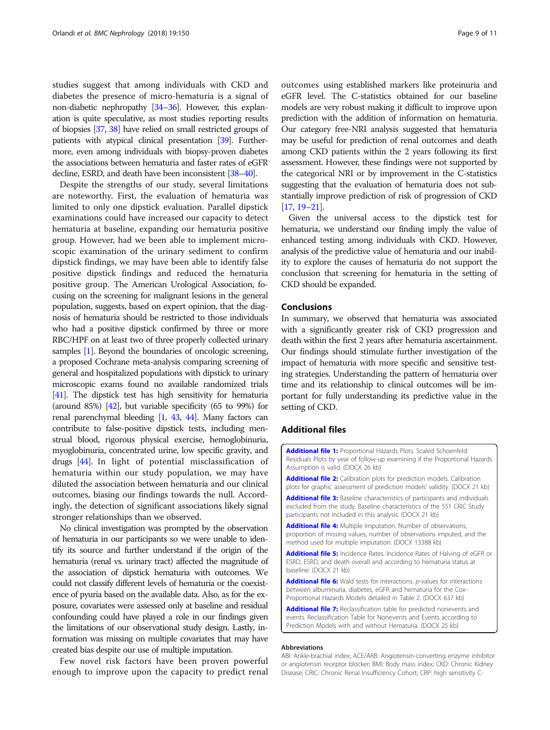<span id="page-8-0"></span>studies suggest that among individuals with CKD and diabetes the presence of micro-hematuria is a signal of non-diabetic nephropathy [\[34](#page-10-0)–[36\]](#page-10-0). However, this explanation is quite speculative, as most studies reporting results of biopsies [\[37](#page-10-0), [38\]](#page-10-0) have relied on small restricted groups of patients with atypical clinical presentation [[39\]](#page-10-0). Furthermore, even among individuals with biopsy-proven diabetes the associations between hematuria and faster rates of eGFR decline, ESRD, and death have been inconsistent [\[38](#page-10-0)–[40\]](#page-10-0).

Despite the strengths of our study, several limitations are noteworthy. First, the evaluation of hematuria was limited to only one dipstick evaluation. Parallel dipstick examinations could have increased our capacity to detect hematuria at baseline, expanding our hematuria positive group. However, had we been able to implement microscopic examination of the urinary sediment to confirm dipstick findings, we may have been able to identify false positive dipstick findings and reduced the hematuria positive group. The American Urological Association, focusing on the screening for malignant lesions in the general population, suggests, based on expert opinion, that the diagnosis of hematuria should be restricted to those individuals who had a positive dipstick confirmed by three or more RBC/HPF on at least two of three properly collected urinary samples [[1](#page-9-0)]. Beyond the boundaries of oncologic screening, a proposed Cochrane meta-analysis comparing screening of general and hospitalized populations with dipstick to urinary microscopic exams found no available randomized trials [[41\]](#page-10-0). The dipstick test has high sensitivity for hematuria (around 85%) [\[42\]](#page-10-0), but variable specificity (65 to 99%) for renal parenchymal bleeding [\[1,](#page-9-0) [43,](#page-10-0) [44\]](#page-10-0). Many factors can contribute to false-positive dipstick tests, including menstrual blood, rigorous physical exercise, hemoglobinuria, myoglobinuria, concentrated urine, low specific gravity, and drugs [\[44\]](#page-10-0). In light of potential misclassification of hematuria within our study population, we may have diluted the association between hematuria and our clinical outcomes, biasing our findings towards the null. Accordingly, the detection of significant associations likely signal stronger relationships than we observed.

No clinical investigation was prompted by the observation of hematuria in our participants so we were unable to identify its source and further understand if the origin of the hematuria (renal vs. urinary tract) affected the magnitude of the association of dipstick hematuria with outcomes. We could not classify different levels of hematuria or the coexistence of pyuria based on the available data. Also, as for the exposure, covariates were assessed only at baseline and residual confounding could have played a role in our findings given the limitations of our observational study design. Lastly, information was missing on multiple covariates that may have created bias despite our use of multiple imputation.

Few novel risk factors have been proven powerful enough to improve upon the capacity to predict renal outcomes using established markers like proteinuria and eGFR level. The C-statistics obtained for our baseline models are very robust making it difficult to improve upon prediction with the addition of information on hematuria. Our category free-NRI analysis suggested that hematuria may be useful for prediction of renal outcomes and death among CKD patients within the 2 years following its first assessment. However, these findings were not supported by the categorical NRI or by improvement in the C-statistics suggesting that the evaluation of hematuria does not substantially improve prediction of risk of progression of CKD [[17](#page-9-0), [19](#page-10-0)–[21](#page-10-0)].

Given the universal access to the dipstick test for hematuria, we understand our finding imply the value of enhanced testing among individuals with CKD. However, analysis of the predictive value of hematuria and our inability to explore the causes of hematuria do not support the conclusion that screening for hematuria in the setting of CKD should be expanded.

## Conclusions

In summary, we observed that hematuria was associated with a significantly greater risk of CKD progression and death within the first 2 years after hematuria ascertainment. Our findings should stimulate further investigation of the impact of hematuria with more specific and sensitive testing strategies. Understanding the pattern of hematuria over time and its relationship to clinical outcomes will be important for fully understanding its predictive value in the setting of CKD.

#### Additional files

[Additional file 1:](https://doi.org/10.1186/s12882-018-0951-0) Proportional Hazards Plots, Scaled Schoenfeld Residuals Plots by year of follow-up examining if the Proportional Hazards Assumption is valid. (DOCX 26 kb)

[Additional file 2:](https://doi.org/10.1186/s12882-018-0951-0) Calibration plots for prediction models. Calibration plots for graphic assessment of prediction models' validity. (DOCX 21 kb)

[Additional file 3:](https://doi.org/10.1186/s12882-018-0951-0) Baseline characteristics of participants and individuals excluded from the study. Baseline characteristics of the 551 CRIC Study participants not included in this analysis. (DOCX 21 kb)

[Additional file 4:](https://doi.org/10.1186/s12882-018-0951-0) Multiple Imputation. Number of observations, proportion of missing values, number of observations imputed, and the method used for multiple imputation. (DOCX 13388 kb)

[Additional file 5:](https://doi.org/10.1186/s12882-018-0951-0) Incidence Rates. Incidence Rates of Halving of eGFR or ESRD, ESRD, and death overall and according to hematuria status at baseline: (DOCX 21 kb)

[Additional file 6:](https://doi.org/10.1186/s12882-018-0951-0) Wald tests for interactions. p-values for interactions between albuminuria, diabetes, eGFR and hematuria for the Cox-Proportional Hazards Models detailed in Table [2.](#page-5-0) (DOCX 637 kb)

[Additional file 7:](https://doi.org/10.1186/s12882-018-0951-0) Reclassification table for predicted nonevents and events. Reclassification Table for Nonevents and Events according to Prediction Models with and without Hematuria. (DOCX 25 kb)

#### Abbreviations

ABI: Ankle-brachial index; ACE/ARB: Angiotensin-converting enzyme inhibitor or angiotensin receptor blocker; BMI: Body mass index; CKD: Chronic Kidney Disease; CRIC: Chronic Renal Insufficiency Cohort; CRP: high sensitivity C-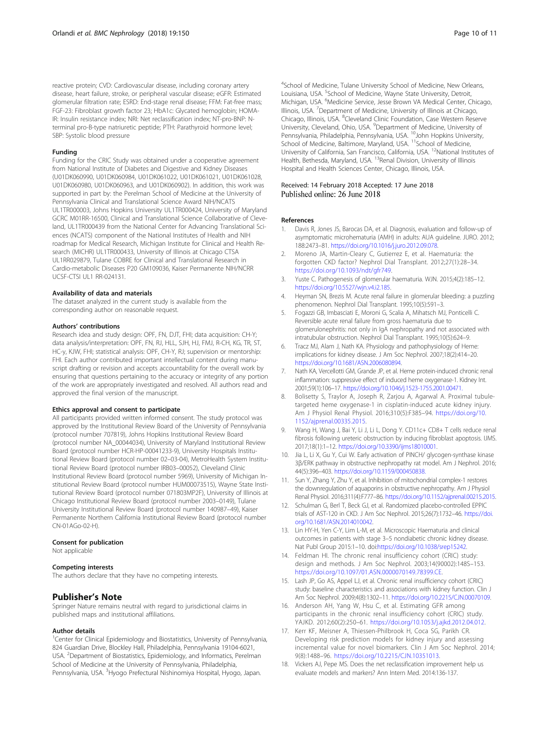<span id="page-9-0"></span>reactive protein; CVD: Cardiovascular disease, including coronary artery disease, heart failure, stroke, or peripheral vascular disease; eGFR: Estimated glomerular filtration rate; ESRD: End-stage renal disease; FFM: Fat-free mass; FGF-23: Fibroblast growth factor 23; HbA1c: Glycated hemoglobin; HOMA-IR: Insulin resistance index; NRI: Net reclassification index; NT-pro-BNP: Nterminal pro-B-type natriuretic peptide; PTH: Parathyroid hormone level; SBP: Systolic blood pressure

#### Funding

Funding for the CRIC Study was obtained under a cooperative agreement from National Institute of Diabetes and Digestive and Kidney Diseases (U01DK060990, U01DK060984, U01DK061022, U01DK061021, U01DK061028, U01DK060980, U01DK060963, and U01DK060902). In addition, this work was supported in part by: the Perelman School of Medicine at the University of Pennsylvania Clinical and Translational Science Award NIH/NCATS UL1TR000003, Johns Hopkins University UL1TR000424, University of Maryland GCRC M01RR-16500, Clinical and Translational Science Collaborative of Cleveland, UL1TR000439 from the National Center for Advancing Translational Sciences (NCATS) component of the National Institutes of Health and NIH roadmap for Medical Research, Michigan Institute for Clinical and Health Research (MICHR) UL1TR000433, University of Illinois at Chicago CTSA UL1RR029879, Tulane COBRE for Clinical and Translational Research in Cardio-metabolic Diseases P20 GM109036, Kaiser Permanente NIH/NCRR UCSF-CTSI UL1 RR-024131.

#### Availability of data and materials

The dataset analyzed in the current study is available from the corresponding author on reasonable request.

#### Authors' contributions

Research idea and study design: OPF, FN, DJT, FHI; data acquisition: CH-Y; data analysis/interpretation: OPF, FN, RJ, HLL, SJH, HJ, FMJ, R-CH, KG, TR, ST, HC-y, KJW, FHI; statistical analysis: OPF, CH-Y, RJ; supervision or mentorship: FHI. Each author contributed important intellectual content during manuscript drafting or revision and accepts accountability for the overall work by ensuring that questions pertaining to the accuracy or integrity of any portion of the work are appropriately investigated and resolved. All authors read and approved the final version of the manuscript.

#### Ethics approval and consent to participate

All participants provided written informed consent. The study protocol was approved by the Institutional Review Board of the University of Pennsylvania (protocol number 707819), Johns Hopkins Institutional Review Board (protocol number NA\_00044034), University of Maryland Institutional Review Board (protocol number HCR-HP-00041233-9), University Hospitals Institutional Review Board (protocol number 02–03-04), MetroHealth System Institutional Review Board (protocol number IRB03–00052), Cleveland Clinic Institutional Review Board (protocol number 5969), University of Michigan Institutional Review Board (protocol number HUM00073515), Wayne State Institutional Review Board (protocol number 071803MP2F), University of Illinois at Chicago Institutional Review Board (protocol number 2003–0149), Tulane University Institutional Review Board (protocol number 140987–49), Kaiser Permanente Northern California Institutional Review Board (protocol number CN-01AGo-02-H).

# Consent for publication

Not applicable

# Competing interests

The authors declare that they have no competing interests.

#### Publisher's Note

Springer Nature remains neutral with regard to jurisdictional claims in published maps and institutional affiliations.

#### Author details

<sup>1</sup> Center for Clinical Epidemiology and Biostatistics, University of Pennsylvania, 824 Guardian Drive, Blockley Hall, Philadelphia, Pennsylvania 19104-6021, USA. <sup>2</sup>Department of Biostatistics, Epidemiology, and Informatics, Perelman School of Medicine at the University of Pennsylvania, Philadelphia, Pennsylvania, USA. <sup>3</sup>Hyogo Prefectural Nishinomiya Hospital, Hyogo, Japan.

4 School of Medicine, Tulane University School of Medicine, New Orleans, Louisiana, USA. <sup>5</sup>School of Medicine, Wayne State University, Detroit, Michigan, USA. <sup>6</sup>Medicine Service, Jesse Brown VA Medical Center, Chicago, Illinois, USA. <sup>7</sup>Department of Medicine, University of Illinois at Chicago Chicago, Illinois, USA. <sup>8</sup>Cleveland Clinic Foundation, Case Western Reserve University, Cleveland, Ohio, USA. <sup>9</sup> Department of Medicine, University of Pennsylvania, Philadelphia, Pennsylvania, USA. 10John Hopkins University, School of Medicine, Baltimore, Maryland, USA. <sup>11</sup>School of Medicine, University of California, San Francisco, California, USA. 12National Institutes of Health, Bethesda, Maryland, USA. <sup>13</sup>Renal Division, University of Illinois Hospital and Health Sciences Center, Chicago, Illinois, USA.

#### Received: 14 February 2018 Accepted: 17 June 2018 Published online: 26 June 2018

#### References

- 1. Davis R, Jones JS, Barocas DA, et al. Diagnosis, evaluation and follow-up of asymptomatic microhematuria (AMH) in adults: AUA guideline. JURO. 2012; 188:2473–81. [https://doi.org/10.1016/j.juro.2012.09.078.](https://doi.org/10.1016/j.juro.2012.09.078)
- 2. Moreno JA, Martin-Cleary C, Gutierrez E, et al. Haematuria: the forgotten CKD factor? Nephrol Dial Transplant. 2012;27(1):28–34. [https://doi.org/10.1093/ndt/gfr749.](https://doi.org/10.1093/ndt/gfr749)
- 3. Yuste C. Pathogenesis of glomerular haematuria. WJN. 2015;4(2):185–12. [https://doi.org/10.5527/wjn.v4.i2.185.](https://doi.org/10.5527/wjn.v4.i2.185)
- 4. Heyman SN, Brezis M. Acute renal failure in glomerular bleeding: a puzzling phenomenon. Nephrol Dial Transplant. 1995;10(5):591–3.
- 5. Fogazzi GB, Imbasciati E, Moroni G, Scalia A, Mihatsch MJ, Ponticelli C. Reversible acute renal failure from gross haematuria due to glomerulonephritis: not only in IgA nephropathy and not associated with intratubular obstruction. Nephrol Dial Transplant. 1995;10(5):624–9.
- 6. Tracz MJ, Alam J, Nath KA. Physiology and pathophysiology of Heme: implications for kidney disease. J Am Soc Nephrol. 2007;18(2):414–20. <https://doi.org/10.1681/ASN.2006080894>.
- 7. Nath KA, Vercellotti GM, Grande JP, et al. Heme protein-induced chronic renal inflammation: suppressive effect of induced heme oxygenase-1. Kidney Int. 2001;59(1):106–17. <https://doi.org/10.1046/j.1523-1755.2001.00471.>
- 8. Bolisetty S, Traylor A, Joseph R, Zarjou A, Agarwal A. Proximal tubuletargeted heme oxygenase-1 in cisplatin-induced acute kidney injury. Am J Physiol Renal Physiol. 2016;310(5):F385–94. [https://doi.org/10.](https://doi.org/10.1152/ajprenal.00335.2015) [1152/ajprenal.00335.2015.](https://doi.org/10.1152/ajprenal.00335.2015)
- 9. Wang H, Wang J, Bai Y, Li J, Li L, Dong Y. CD11c+ CD8+ T cells reduce renal fibrosis following ureteric obstruction by inducing fibroblast apoptosis. IJMS. 2017;18(1):1–12. [https://doi.org/10.3390/ijms18010001.](https://doi.org/10.3390/ijms18010001)
- 10. Jia L, Li X, Gu Y, Cui W. Early activation of PINCH/ glycogen-synthase kinase 3β/ERK pathway in obstructive nephropathy rat model. Am J Nephrol. 2016; 44(5):396–403. <https://doi.org/10.1159/000450838.>
- 11. Sun Y, Zhang Y, Zhu Y, et al. Inhibition of mitochondrial complex-1 restores the downregulation of aquaporins in obstructive nephropathy. Am J Physiol Renal Physiol. 2016;311(4):F777–86. <https://doi.org/10.1152/ajprenal.00215.2015>.
- 12. Schulman G, Berl T, Beck GJ, et al. Randomized placebo-controlled EPPIC trials of AST-120 in CKD. J Am Soc Nephrol. 2015;26(7):1732–46. [https://doi.](https://doi.org/10.1681/ASN.2014010042) [org/10.1681/ASN.2014010042](https://doi.org/10.1681/ASN.2014010042).
- 13. Lin HY-H, Yen C-Y, Lim L-M, et al. Microscopic Haematuria and clinical outcomes in patients with stage 3–5 nondiabetic chronic kidney disease. Nat Publ Group 2015:1–10. doi:[https://doi.org/10.1038/srep15242.](https://doi.org/10.1038/srep15242)
- 14. Feldman HI. The chronic renal insufficiency cohort (CRIC) study: design and methods. J Am Soc Nephrol. 2003;14(90002):148S–153. <https://doi.org/10.1097/01.ASN.0000070149.78399.CE>.
- 15. Lash JP, Go AS, Appel LJ, et al. Chronic renal insufficiency cohort (CRIC) study: baseline characteristics and associations with kidney function. Clin J Am Soc Nephrol. 2009;4(8):1302–11. [https://doi.org/10.2215/CJN.00070109.](https://doi.org/10.2215/CJN.00070109)
- 16. Anderson AH, Yang W, Hsu C, et al. Estimating GFR among participants in the chronic renal insufficiency cohort (CRIC) study. YAJKD. 2012;60(2):250–61. [https://doi.org/10.1053/j.ajkd.2012.04.012.](https://doi.org/10.1053/j.ajkd.2012.04.012)
- 17. Kerr KF, Meisner A, Thiessen-Philbrook H, Coca SG, Parikh CR. Developing risk prediction models for kidney injury and assessing incremental value for novel biomarkers. Clin J Am Soc Nephrol. 2014; 9(8):1488–96. <https://doi.org/10.2215/CJN.10351013>.
- 18. Vickers AJ, Pepe MS. Does the net reclassification improvement help us evaluate models and markers? Ann Intern Med. 2014:136-137.